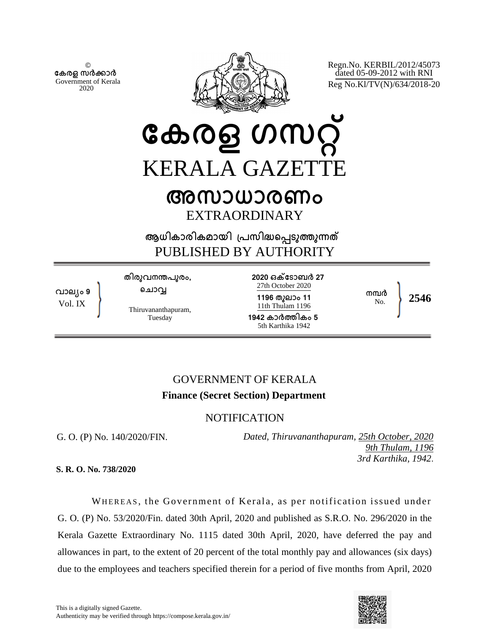© **േകരള സർകാർ** Government of Kerala 2020



Regn.No. KERBIL/2012/45073 dated 05-09-2012 with RNI Reg No.Kl/TV(N)/634/2018-20

**േകരള ഗസറ് KERALA GAZETT** 

## **അസാധാരണം** EXTRAORDINARY

**ആധികാരികമായി ്പസിദെപടുതുനത** PUBLISHED BY AUTHORITY

**വാല്ം 9** Vol. IX

**തിരുവനനപുരം, െചാവ**

Thiruvananthapuram, Tuesday

**2020 ഒകേടാബർ 27** 27th October 2020 **1196 തുലാം 11** 11th Thulam 1196

**1942 കാർതികം 5** 5th Karthika 1942

 $\frac{100}{N_{\odot}}$  2546

**നമർ**

## GOVERNMENT OF KERALA **Finance (Secret Section) Department**

## NOTIFICATION

G. O. (P) No. 140/2020/FIN.

*Dated, Thiruvananthapuram, 25th October, 2020 9th Thulam, 1196 3rd Karthika, 1942*.

**S. R. O. No. 738/2020**

WHEREAS, the Government of Kerala, as per notification issued under G. O. (P) No. 53/2020/Fin. dated 30th April, 2020 and published as S.R.O. No. 296/2020 in the Kerala Gazette Extraordinary No. 1115 dated 30th April, 2020, have deferred the pay and allowances in part, to the extent of 20 percent of the total monthly pay and allowances (six days) due to the employees and teachers specified therein for a period of five months from April, 2020

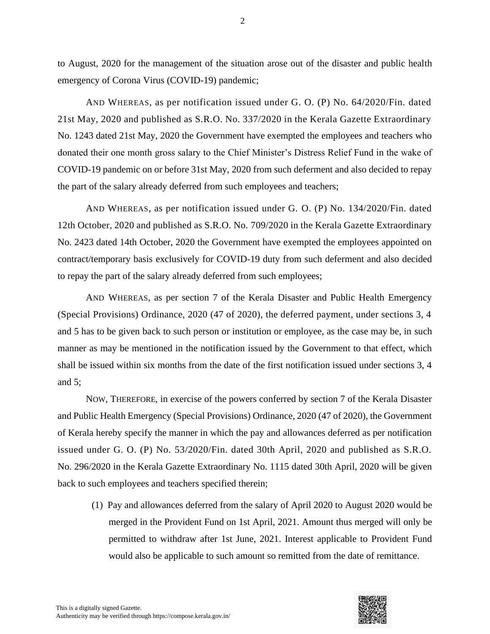to August, 2020 for the management of the situation arose out of the disaster and public health emergency of Corona Virus (COVID-19) pandemic;

AND WHEREAS, as per notification issued under G. O. (P) No. 64/2020/Fin. dated 21st May, 2020 and published as S.R.O. No. 337/2020 in the Kerala Gazette Extraordinary No. 1243 dated 21st May, 2020 the Government have exempted the employees and teachers who donated their one month gross salary to the Chief Minister's Distress Relief Fund in the wake of COVID-19 pandemic on or before 31st May, 2020 from such deferment and also decided to repay the part of the salary already deferred from such employees and teachers;

AND WHEREAS, as per notification issued under G. O. (P) No. 134/2020/Fin. dated 12th October, 2020 and published as S.R.O. No. 709/2020 in the Kerala Gazette Extraordinary No. 2423 dated 14th October, 2020 the Government have exempted the employees appointed on contract/temporary basis exclusively for COVID-19 duty from such deferment and also decided to repay the part of the salary already deferred from such employees;

AND WHEREAS, as per section 7 of the Kerala Disaster and Public Health Emergency (Special Provisions) Ordinance, 2020 (47 of 2020), the deferred payment, under sections 3, 4 and 5 has to be given back to such person or institution or employee, as the case may be, in such manner as may be mentioned in the notification issued by the Government to that effect, which shall be issued within six months from the date of the first notification issued under sections 3, 4 and 5;

NOW, THEREFORE, in exercise of the powers conferred by section 7 of the Kerala Disaster and Public Health Emergency (Special Provisions) Ordinance, 2020 (47 of 2020), the Government of Kerala hereby specify the manner in which the pay and allowances deferred as per notification issued under G. O. (P) No. 53/2020/Fin. dated 30th April, 2020 and published as S.R.O. No. 296/2020 in the Kerala Gazette Extraordinary No. 1115 dated 30th April, 2020 will be given back to such employees and teachers specified therein;

(1) Pay and allowances deferred from the salary of April 2020 to August 2020 would be merged in the Provident Fund on 1st April, 2021. Amount thus merged will only be permitted to withdraw after 1st June, 2021. Interest applicable to Provident Fund would also be applicable to such amount so remitted from the date of remittance.

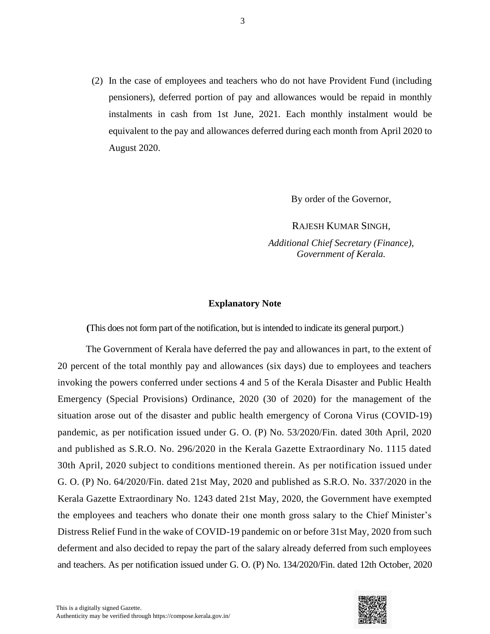(2) In the case of employees and teachers who do not have Provident Fund (including pensioners), deferred portion of pay and allowances would be repaid in monthly instalments in cash from 1st June, 2021. Each monthly instalment would be equivalent to the pay and allowances deferred during each month from April 2020 to August 2020.

By order of the Governor,

RAJESH KUMAR SINGH, *Additional Chief Secretary (Finance), Government of Kerala.*

## **Explanatory Note**

**(**This does not form part of the notification, but is intended to indicate its general purport.)

The Government of Kerala have deferred the pay and allowances in part, to the extent of 20 percent of the total monthly pay and allowances (six days) due to employees and teachers invoking the powers conferred under sections 4 and 5 of the Kerala Disaster and Public Health Emergency (Special Provisions) Ordinance, 2020 (30 of 2020) for the management of the situation arose out of the disaster and public health emergency of Corona Virus (COVID-19) pandemic, as per notification issued under G. O. (P) No. 53/2020/Fin. dated 30th April, 2020 and published as S.R.O. No. 296/2020 in the Kerala Gazette Extraordinary No. 1115 dated 30th April, 2020 subject to conditions mentioned therein. As per notification issued under G. O. (P) No. 64/2020/Fin. dated 21st May, 2020 and published as S.R.O. No. 337/2020 in the Kerala Gazette Extraordinary No. 1243 dated 21st May, 2020, the Government have exempted the employees and teachers who donate their one month gross salary to the Chief Minister's Distress Relief Fund in the wake of COVID-19 pandemic on or before 31st May, 2020 from such deferment and also decided to repay the part of the salary already deferred from such employees and teachers. As per notification issued under G. O. (P) No. 134/2020/Fin. dated 12th October, 2020